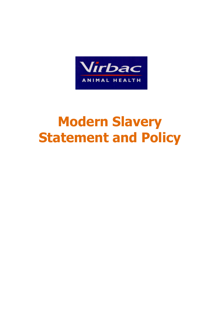

# **Modern Slavery Statement and Policy**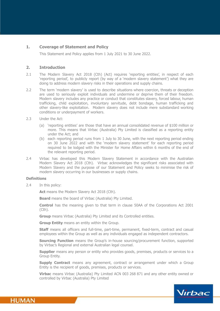# **1. Coverage of Statement and Policy**

This Statement and Policy applies from 1 July 2021 to 30 June 2022.

# **2. Introduction**

- 2.1 The Modern Slavery Act 2018 (Cth) (Act) requires 'reporting entities', in respect of each 'reporting period', to publicly report (by way of a 'modern slavery statement') what they are doing to address modern slavery risks in their operations and supply chains.
- 2.2 The term 'modern slavery' is used to describe situations where coercion, threats or deception are used to seriously exploit individuals and undermine or deprive them of their freedom. Modern slavery includes any practice or conduct that constitutes slavery, forced labour, human trafficking, child exploitation, involuntary servitude, debt bondage, human trafficking and other slavery-like exploitation. Modern slavery does not include mere substandard working conditions or underpayment of workers.
- 2.3 Under the Act:
	- (a) 'reporting entities' are those that have an annual consolidated revenue of \$100 million or more. This means that Virbac (Australia) Pty Limited is classified as a reporting entity under the Act; and
	- (b) each reporting period runs from 1 July to 30 June, with the next reporting period ending on 30 June 2022 and with the 'modern slavery statement' for each reporting period required to be lodged with the Minister for Home Affairs within 6 months of the end of the relevant reporting period.
- 2.4 Virbac has developed this Modern Slavery Statement in accordance with the Australian Modern Slavery Act 2018 (Cth). Virbac acknowledges the significant risks associated with Modern Slavery and the purpose of our Statement and Policy seeks to minimise the risk of modern slavery occurring in our businesses or supply chains.

# **Definitions**

2.4 In this policy:

Act means the Modern Slavery Act 2018 (Cth).

**Board** means the board of Virbac (Australia) Pty Limited.

**Control** has the meaning given to that term in clause 50AA of the Corporations Act 2001 (Cth).

**Group** means Virbac (Australia) Pty Limited and its Controlled entities.

**Group Entity** means an entity within the Group.

**Staff** means all officers and full-time, part-time, permanent, fixed-term, contract and casual employees within the Group as well as any individuals engaged as independent contractors.

**Sourcing Function** means the Group's in-house sourcing/procurement function, supported by Virbac's Regional and external Australian legal counsel.

**Supplier** means any person or entity who provides goods, premises, products or services to a Group Entity.

**Supply Contract** means any agreement, contract or arrangement under which a Group Entity is the recipient of goods, premises, products or services.

**Virbac** means Virbac (Australia) Pty Limited ACN 003 268 871 and any other entity owned or controlled by Virbac (Australia) Pty Limited

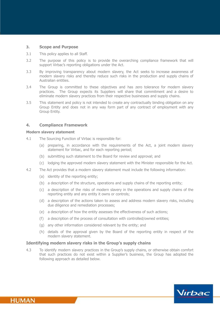## **3. Scope and Purpose**

- 3.1 This policy applies to all Staff.
- 3.2 The purpose of this policy is to provide the overarching compliance framework that will support Virbac's reporting obligations under the Act.
- 3.3 By improving transparency about modern slavery, the Act seeks to increase awareness of modern slavery risks and thereby reduce such risks in the production and supply chains of Australian entities.
- 3.4 The Group is committed to these objectives and has zero tolerance for modern slavery practices. The Group expects its Suppliers will share that commitment and a desire to eliminate modern slavery practices from their respective businesses and supply chains.
- 3.5 This statement and policy is not intended to create any contractually binding obligation on any Group Entity and does not in any way form part of any contract of employment with any Group Entity.

# **4. Compliance Framework**

## **Modern slavery statement**

- 4.1 The Sourcing Function of Virbac is responsible for:
	- (a) preparing, in accordance with the requirements of the Act, a joint modern slavery statement for Virbac, and for each reporting period;
	- (b) submitting such statement to the Board for review and approval; and
	- (c) lodging the approved modern slavery statement with the Minister responsible for the Act.
- 4.2 The Act provides that a modern slavery statement must include the following information:
	- (a) identity of the reporting entity;
	- (b) a description of the structure, operations and supply chains of the reporting entity;
	- (c) a description of the risks of modern slavery in the operations and supply chains of the reporting entity and any entity it owns or controls;
	- (d) a description of the actions taken to assess and address modern slavery risks, including due diligence and remediation processes;
	- (e) a description of how the entity assesses the effectiveness of such actions;
	- (f) a description of the process of consultation with controlled/owned entities;
	- (g) any other information considered relevant by the entity; and
	- (h) details of the approval given by the Board of the reporting entity in respect of the modern slavery statement.

# **Identifying modern slavery risks in the Group's supply chains**

4.3 To identify modern slavery practices in the Group's supply chains, or otherwise obtain comfort that such practices do not exist within a Supplier's business, the Group has adopted the following approach as detailed below.



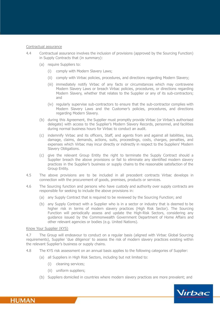## Contractual assurance

- 4.4 Contractual assurance involves the inclusion of provisions (approved by the Sourcing Function) in Supply Contracts that (in summary):
	- (a) require Suppliers to:
		- (i) comply with Modern Slavery Laws;
		- (ii) comply with Virbac policies, procedures, and directions regarding Modern Slavery;
		- (iii) immediately notify Virbac of any facts or circumstances which may contravene Modern Slavery Laws or breach Virbac policies, procedures, or directions regarding Modern Slavery, whether that relates to the Supplier or any of its sub-contractors; and
		- (iv) regularly supervise sub-contractors to ensure that the sub-contractor complies with Modern Slavery Laws and the Customer's policies, procedures, and directions regarding Modern Slavery.
	- (b) during this Agreement, the Supplier must promptly provide Virbac (or Virbac's authorised delegate) with access to the Supplier's Modern Slavery Records, personnel, and facilities during normal business hours for Virbac to conduct an audit.
	- (c) indemnify Virbac and its officers, Staff, and agents from and against all liabilities, loss, damage, claims, demands, actions, suits, proceedings, costs, charges, penalties, and expenses which Virbac may incur directly or indirectly in respect to the Suppliers' Modern Slavery Obligations.
	- (c) give the relevant Group Entity the right to terminate the Supply Contract should a Supplier breach the above provisions or fail to eliminate any identified modern slavery practices in the Supplier's business or supply chains to the reasonable satisfaction of the Group Entity.
- 4.5 The above provisions are to be included in all precedent contracts Virbac develops in connection with the procurement of goods, premises, products or services.
- 4.6 The Sourcing function and persons who have custody and authority over supply contracts are responsible for seeking to include the above provisions in:
	- (a) any Supply Contract that is required to be reviewed by the Sourcing Function; and
	- (b) any Supply Contract with a Supplier who is in a sector or industry that is deemed to be higher risk in terms of modern slavery practices (High Risk Sector). The Sourcing Function will periodically assess and update the High-Risk Sectors, considering any guidance issued by the Commonwealth Government Department of Home Affairs and other relevant agencies or bodies (e.g. United Nations).

## Know Your Supplier (KYS)

4.7 The Group will endeavour to conduct on a regular basis (aligned with Virbac Global Sourcing requirements), Supplier 'due diligence' to assess the risk of modern slavery practices existing within the relevant Supplier's business or supply chains.

- 4.8 The KYS risk assessment on an annual basis applies to the following categories of Supplier:
	- (a) all Suppliers in High Risk Sectors, including but not limited to:
		- (i) cleaning services;
		- (ii) uniform suppliers;
	- (b) Suppliers domiciled in countries where modern slavery practices are more prevalent; and

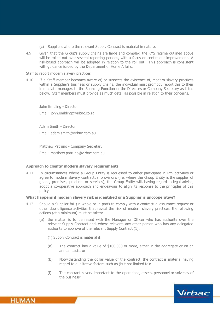- (c) Suppliers where the relevant Supply Contract is material in nature.
- 4.9 Given that the Group's supply chains are large and complex, the KYS regime outlined above will be rolled out over several reporting periods, with a focus on continuous improvement. A risk-based approach will be adopted in relation to the roll out. This approach is consistent with guidance issued by the Department of Home Affairs.

## Staff to report modern slavery practices

4.10 If a Staff member becomes aware of, or suspects the existence of, modern slavery practices within a Supplier's business or supply chains, the individual must promptly report this to their immediate manager, to the Sourcing Function or the Directors or Company Secretary as listed below. Staff members must provide as much detail as possible in relation to their concerns.

John Embling - Director Email: john.embling@virbac.co.za

Adam Smith - Director Email: adam.smith@virbac.com.au

Matthew Patruno - Company Secretary Email: matthew.patruno@virbac.com.au

# **Approach to clients' modern slavery requirements**

4.11 In circumstances where a Group Entity is requested to either participate in KYS activities or agree to modern slavery contractual provisions (i.e. where the Group Entity is the supplier of goods, premises, products or services), the Group Entity will, having regard to legal advice, adopt a co-operative approach and endeavour to align its response to the principles of this policy.

# **What happens if modern slavery risk is identified or a Supplier is uncooperative?**

- 4.12 Should a Supplier fail (in whole or in part) to comply with a contractual assurance request or other due diligence activities that reveal the risk of modern slavery practices, the following actions (at a minimum) must be taken:
	- (a) the matter is to be raised with the Manager or Officer who has authority over the relevant Supply Contract and, where relevant, any other person who has any delegated authority to approve of the relevant Supply Contract (1);
		- (1) Supply Contract is material if:
		- (a) The contract has a value of \$100,000 or more, either in the aggregate or on an annual basis; or
		- (b) Notwithstanding the dollar value of the contract, the contract is material having regard to qualitative factors such as (but not limited to):
		- (i) The contract is very important to the operations, assets, personnel or solvency of the business;

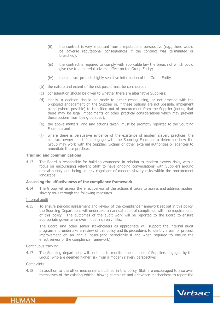- (ii) the contract is very important from a reputational perspective (e.g., there would be adverse reputational consequences if the contract was terminated or breached);
- (iii) the contract is required to comply with applicable law the breach of which could give rise to a material adverse effect on the Group Entity;
- (iv) the contract protects highly sensitive information of the Group Entity.
- (b) the nature and extent of the risk posed must be considered;
- (c) consideration should be given to whether there are alternative Suppliers;
- (d) ideally, a decision should be made to either cease using, or not proceed with the proposed engagement of, the Supplier or, if these options are not possible, implement plans (where possible) to transition out of procurement from the Supplier (noting that there may be legal impediments or other practical considerations which may prevent these options from being pursued);
- (e) the above matters, and any actions taken, must be promptly reported to the Sourcing Function; and
- (f) where there is persuasive evidence of the existence of modern slavery practices, the contract owner must first engage with the Sourcing Function to determine how the Group may work with the Supplier, victims or other external authorities or agencies to remediate those practices.

#### **Training and communications**

4.13 The Board is responsible for building awareness in relation to modern slavery risks, with a focus on encouraging relevant Staff to have ongoing conversations with Suppliers around ethical supply and being acutely cognisant of modern slavery risks within the procurement landscape.

#### **Assessing the effectiveness of the compliance framework**

4.14 The Group will assess the effectiveness of the actions it takes to assess and address modern slavery risks through the following measures.

### Internal audit

4.15 To ensure periodic assessment and review of the compliance framework set out in this policy, the Sourcing Department will undertake an annual audit of compliance with the requirements of this policy. The outcomes of the audit work will be reported to the Board to ensure appropriate governance over modern slavery risks.

The Board and other senior stakeholders as appropriate will support the internal audit program and undertake a review of this policy and its procedures to identify areas for process improvement on an annual basis (and periodically if and when required to ensure the effectiveness of the compliance framework).

#### Continuous tracking

4.17 The Sourcing department will continue to monitor the number of Suppliers engaged by the Group (who are deemed higher risk from a modern slavery perspective)

#### **Complaints**

**HUMAN** 

4.18 In addition to the other mechanisms outlined in this policy, Staff are encouraged to also avail themselves of the existing whistle blower, complaint and grievance mechanisms to report the